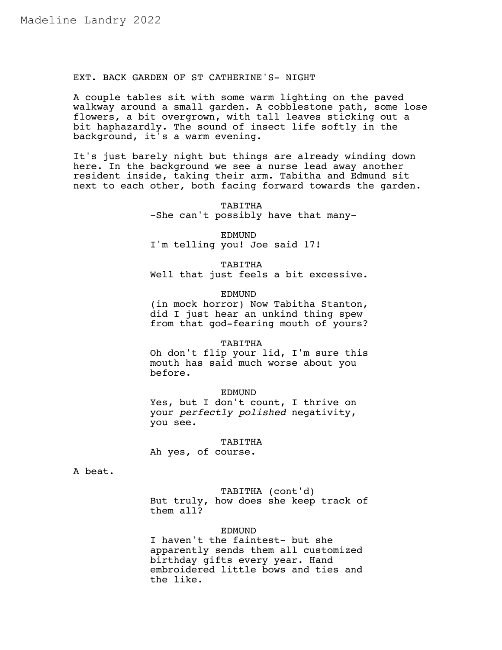EXT. BACK GARDEN OF ST CATHERINE'S- NIGHT

A couple tables sit with some warm lighting on the paved walkway around a small garden. A cobblestone path, some lose flowers, a bit overgrown, with tall leaves sticking out a bit haphazardly. The sound of insect life softly in the background, it's a warm evening.

It's just barely night but things are already winding down here. In the background we see a nurse lead away another resident inside, taking their arm. Tabitha and Edmund sit next to each other, both facing forward towards the garden.

> TABITHA -She can't possibly have that many-

EDMUND I'm telling you! Joe said 17!

TABITHA Well that just feels a bit excessive.

EDMUND

(in mock horror) Now Tabitha Stanton, did I just hear an unkind thing spew from that god-fearing mouth of yours?

#### TABITHA

Oh don't flip your lid, I'm sure this mouth has said much worse about you before.

EDMUND

Yes, but I don't count, I thrive on your *perfectly polished* negativity, you see.

TABITHA

Ah yes, of course.

A beat.

TABITHA (cont'd) But truly, how does she keep track of them all?

### EDMUND

I haven't the faintest- but she apparently sends them all customized birthday gifts every year. Hand embroidered little bows and ties and the like.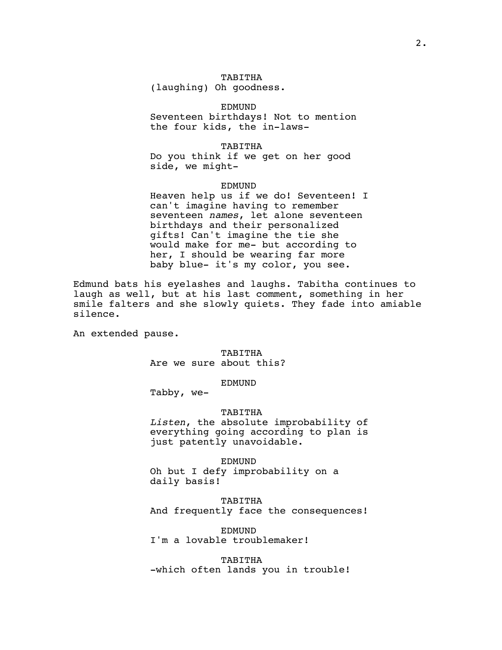# TABITHA

(laughing) Oh goodness.

# EDMUND

Seventeen birthdays! Not to mention the four kids, the in-laws-

TABITHA

Do you think if we get on her good side, we might-

#### EDMUND

Heaven help us if we do! Seventeen! I can't imagine having to remember seventeen *names*, let alone seventeen birthdays and their personalized gifts! Can't imagine the tie she would make for me- but according to her, I should be wearing far more baby blue- it's my color, you see.

Edmund bats his eyelashes and laughs. Tabitha continues to laugh as well, but at his last comment, something in her smile falters and she slowly quiets. They fade into amiable silence.

An extended pause.

# TABITHA Are we sure about this?

### EDMUND

Tabby, we-

# TABITHA

*Listen*, the absolute improbability of everything going according to plan is just patently unavoidable.

EDMUND Oh but I defy improbability on a daily basis!

TABITHA And frequently face the consequences!

EDMUND I'm a lovable troublemaker!

TABITHA -which often lands you in trouble!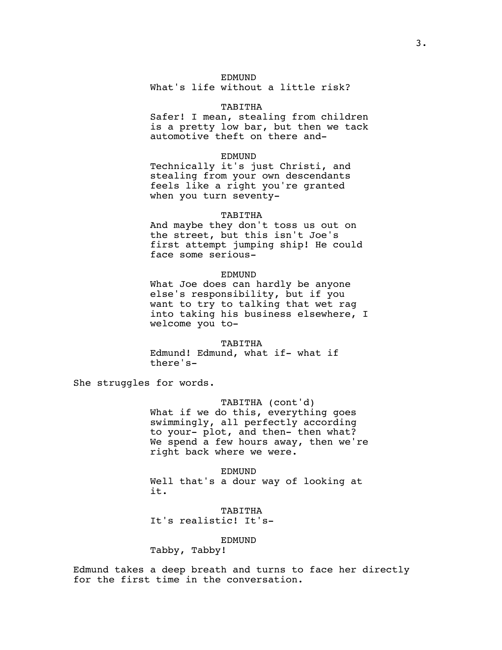### EDMUND

What's life without a little risk?

# TABITHA

Safer! I mean, stealing from children is a pretty low bar, but then we tack automotive theft on there and-

#### EDMUND

Technically it's just Christi, and stealing from your own descendants feels like a right you're granted when you turn seventy-

### TABITHA

And maybe they don't toss us out on the street, but this isn't Joe's first attempt jumping ship! He could face some serious-

#### EDMUND

What Joe does can hardly be anyone else's responsibility, but if you want to try to talking that wet rag into taking his business elsewhere, I welcome you to-

### TABITHA

Edmund! Edmund, what if- what if there's-

She struggles for words.

### TABITHA (cont'd)

What if we do this, everything goes swimmingly, all perfectly according to your- plot, and then- then what? We spend a few hours away, then we're right back where we were.

EDMUND Well that's a dour way of looking at it.

TABITHA It's realistic! It's-

# EDMUND

Tabby, Tabby!

Edmund takes a deep breath and turns to face her directly for the first time in the conversation.